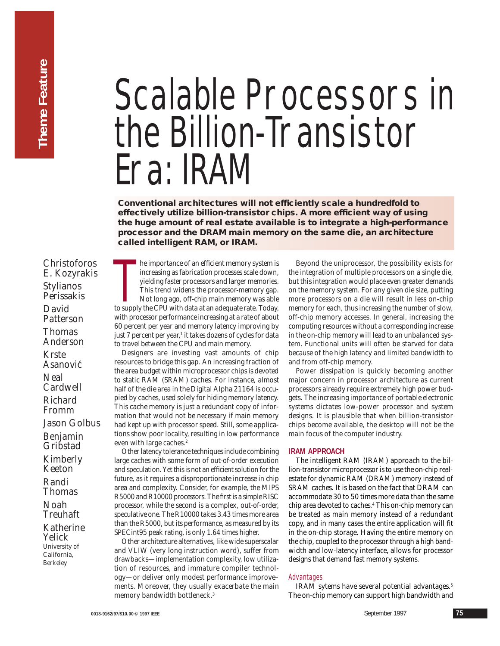# Scalable Processors in the Billion-Transistor Era: IRAM

**Conventional architectures will not efficiently scale a hundredfold to effectively utilize billion-transistor chips. A more efficient way of using the huge amount of real estate available is to integrate a high-performance processor and the DRAM main memory on the same die, an architecture called intelligent RAM, or IRAM.**

**Chris E. Ko**<br>Chris E. Ko<br>Stylia Periss David<br>Para Feature Feature<br>And Richa From Jason Gribs<br>Kimb Keeto Rand Thom Treuk<br>Kathe Velick<br>University<br>Californ Treuk<br>Kathe Yelick<br>Chiversity<br>Californ Treuk<br>Kathe Yelick *Christoforos E. Kozyrakis Stylianos Perissakis David Patterson Thomas Anderson Krste Asanovic*′ *Neal Cardwell Richard Fromm Jason Golbus Benjamin Gribstad Kimberly Keeton Randi Thomas Noah Treuhaft Katherine Yelick* University of California, **Berkeley** 

the importance of an efficient memory system is<br>increasing as fabrication processes scale down,<br>yielding faster processors and larger memories.<br>This trend widens the processor-memory gap.<br>Not long ago, off-chip main memory he importance of an efficient memory system is increasing as fabrication processes scale down, yielding faster processors and larger memories. This trend widens the processor-memory gap. Not long ago, off-chip main memory was able

with processor performance increasing at a rate of about 60 percent per year and memory latency improving by just 7 percent per year,<sup>1</sup> it takes dozens of cycles for data to travel between the CPU and main memory.

Designers are investing vast amounts of chip resources to bridge this gap. An increasing fraction of the area budget within microprocessor chips is devoted to static RAM (SRAM) caches. For instance, almost half of the die area in the Digital Alpha 21164 is occupied by caches, used solely for hiding memory latency. This cache memory is just a redundant copy of information that would not be necessary if main memory had kept up with processor speed. Still, some applications show poor locality, resulting in low performance even with large caches.<sup>2</sup>

Other latency tolerance techniques include combining large caches with some form of out-of-order execution and speculation. Yet this is not an efficient solution for the future, as it requires a disproportionate increase in chip area and complexity. Consider, for example, the MIPS R5000 and R10000 processors. The first is a simple RISC processor, while the second is a complex, out-of-order, speculative one. The R10000 takes 3.43 times more area than the R5000, but its performance, as measured by its SPECint95 peak rating, is only 1.64 times higher.

Other architecture alternatives, like wide superscalar and VLIW (very long instruction word), suffer from drawbacks—implementation complexity, low utilization of resources, and immature compiler technology—or deliver only modest performance improve– ments. Moreover, they usually exacerbate the main memory bandwidth bottleneck.<sup>3</sup>

Beyond the uniprocessor, the possibility exists for the integration of multiple processors on a single die, but this integration would place even greater demands on the memory system. For any given die size, putting more processors on a die will result in less on-chip memory for each, thus increasing the number of slow, off-chip memory accesses. In general, increasing the computing resources without a corresponding increase in the on-chip memory will lead to an unbalanced system. Functional units will often be starved for data because of the high latency and limited bandwidth to and from off-chip memory.

Power dissipation is quickly becoming another major concern in processor architecture as current processors already require extremely high power budgets. The increasing importance of portable electronic systems dictates low-power processor and system designs. It is plausible that when billion-transistor chips become available, the desktop will not be the main focus of the computer industry.

# **IRAM APPROACH**

The intelligent RAM (IRAM) approach to the billion-transistor microprocessor is to use the on-chip realestate for dynamic RAM (DRAM) memory instead of SRAM caches. It is based on the fact that DRAM can accommodate 30 to 50 times more data than the same chip area devoted to caches.4 This on-chip memory can be treated as main memory instead of a redundant copy, and in many cases the entire application will fit in the on-chip storage. Having the entire memory on the chip, coupled to the processor through a high bandwidth and low-latency interface, allows for processor designs that demand fast memory systems.

# **Advantages**

IRAM sytems have several potential advantages.5 The on-chip memory can support high bandwidth and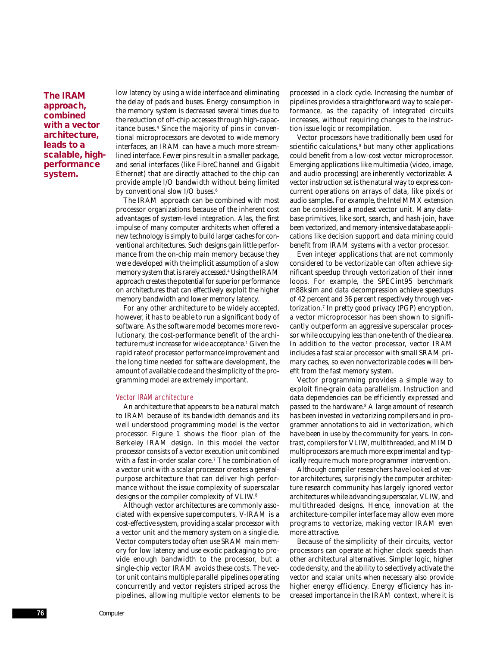**The IRAM approach, combined with a vector architecture, leads to a scalable, highperformance system.**

low latency by using a wide interface and eliminating the delay of pads and buses. Energy consumption in the memory system is decreased several times due to the reduction of off-chip accesses through high-capacitance buses.4 Since the majority of pins in conventional microprocessors are devoted to wide memory interfaces, an IRAM can have a much more streamlined interface. Fewer pins result in a smaller package, and serial interfaces (like FibreChannel and Gigabit Ethernet) that are directly attached to the chip can provide ample I/O bandwidth without being limited by conventional slow I/O buses.<sup>6</sup>

The IRAM approach can be combined with most processor organizations because of the inherent cost advantages of system-level integration. Alas, the first impulse of many computer architects when offered a new technology is simply to build larger caches for conventional architectures. Such designs gain little performance from the on-chip main memory because they were developed with the implicit assumption of a slow memory system that is rarely accessed.4 Using the IRAM approach creates the potential for superior performance on architectures that can effectively exploit the higher memory bandwidth and lower memory latency.

For any other architecture to be widely accepted, however, it has to be able to run a significant body of software. As the software model becomes more revolutionary, the cost-performance benefit of the architecture must increase for wide acceptance.<sup>1</sup> Given the rapid rate of processor performance improvement and the long time needed for software development, the amount of available code and the simplicity of the programming model are extremely important.

### Vector IRAM architecture

An architecture that appears to be a natural match to IRAM because of its bandwidth demands and its well understood programming model is the vector processor. Figure 1 shows the floor plan of the Berkeley IRAM design. In this model the vector processor consists of a vector execution unit combined with a fast in-order scalar core.<sup>7</sup> The combination of a vector unit with a scalar processor creates a generalpurpose architecture that can deliver high performance without the issue complexity of superscalar designs or the compiler complexity of VLIW. 8

Although vector architectures are commonly associated with expensive supercomputers, V-IRAM is a cost-effective system, providing a scalar processor with a vector unit and the memory system on a single die. Vector computers today often use SRAM main memory for low latency and use exotic packaging to provide enough bandwidth to the processor, but a single-chip vector IRAM avoids these costs. The vector unit contains multiple parallel pipelines operating concurrently and vector registers striped across the pipelines, allowing multiple vector elements to be processed in a clock cycle. Increasing the number of pipelines provides a straightforward way to scale performance, as the capacity of integrated circuits increases, without requiring changes to the instruction issue logic or recompilation.

Vector processors have traditionally been used for scientific calculations,<sup>9</sup> but many other applications could benefit from a low-cost vector microprocessor. Emerging applications like multimedia (video, image, and audio processing) are inherently vectorizable: A vector instruction set is the natural way to express concurrent operations on arrays of data, like pixels or audio samples. For example, the Intel MMX extension can be considered a modest vector unit. Many database primitives, like sort, search, and hash-join, have been vectorized, and memory-intensive database applications like decision support and data mining could benefit from IRAM systems with a vector processor.

Even integer applications that are not commonly considered to be vectorizable can often achieve significant speedup through vectorization of their inner loops. For example, the SPECint95 benchmark m88ksim and data decompression achieve speedups of 42 percent and 36 percent respectively through vectorization.7 In pretty good privacy (PGP) encryption, a vector microprocessor has been shown to significantly outperform an aggressive superscalar processor while occupying less than one-tenth of the die area. In addition to the vector processor, vector IRAM includes a fast scalar processor with small SRAM primary caches, so even nonvectorizable codes will benefit from the fast memory system.

Vector programming provides a simple way to exploit fine-grain data parallelism. Instruction and data dependencies can be efficiently expressed and passed to the hardware.8 A large amount of research has been invested in vectorizing compilers and in programmer annotations to aid in vectorization, which have been in use by the community for years. In contrast, compilers for VLIW, multithreaded, and MIMD multiprocessors are much more experimental and typically require much more programmer intervention.

Although compiler researchers have looked at vector architectures, surprisingly the computer architecture research community has largely ignored vector architectures while advancing superscalar, VLIW, and multithreaded designs. Hence, innovation at the architecture-compiler interface may allow even more programs to vectorize, making vector IRAM even more attractive.

Because of the simplicity of their circuits, vector processors can operate at higher clock speeds than other architectural alternatives. Simpler logic, higher code density, and the ability to selectively activate the vector and scalar units when necessary also provide higher energy efficiency. Energy efficiency has increased importance in the IRAM context, where it is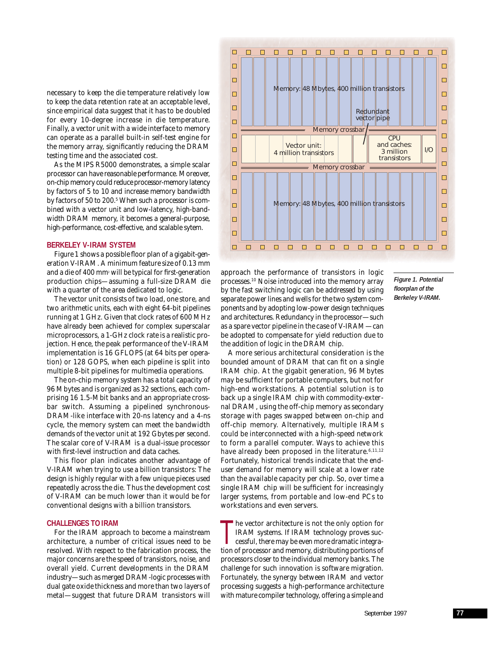necessary to keep the die temperature relatively low to keep the data retention rate at an acceptable level, since empirical data suggest that it has to be doubled for every 10-degree increase in die temperature. Finally, a vector unit with a wide interface to memory can operate as a parallel built-in self-test engine for the memory array, significantly reducing the DRAM testing time and the associated cost.

As the MIPS R5000 demonstrates, a simple scalar processor can have reasonable performance. Moreover, on-chip memory could reduce processor-memory latency by factors of 5 to 10 and increase memory bandwidth by factors of 50 to 200.<sup>5</sup> When such a processor is combined with a vector unit and low-latency, high-bandwidth DRAM memory, it becomes a general-purpose, high-performance, cost-effective, and scalable sytem.

### **BERKELEY V-IRAM SYSTEM**

Figure 1 shows a possible floor plan of a gigabit-generation V-IRAM. A minimum feature size of 0.13 mm and a die of 400 mm2 will be typical for first-generation production chips—assuming a full-size DRAM die with a quarter of the area dedicated to logic.

The vector unit consists of two load, one store, and two arithmetic units, each with eight 64-bit pipelines running at 1 GHz. Given that clock rates of 600 MHz have already been achieved for complex superscalar microprocessors, a 1-GHz clock rate is a realistic projection. Hence, the peak performance of the V-IRAM implementation is 16 GFLOPS (at 64 bits per operation) or 128 GOPS, when each pipeline is split into multiple 8-bit pipelines for multimedia operations.

The on-chip memory system has a total capacity of 96 Mbytes and is organized as 32 sections, each comprising 16 1.5-Mbit banks and an appropriate crossbar switch. Assuming a pipelined synchronous-DRAM-like interface with 20-ns latency and a 4-ns cycle, the memory system can meet the bandwidth demands of the vector unit at 192 Gbytes per second. The scalar core of V-IRAM is a dual-issue processor with first-level instruction and data caches.

This floor plan indicates another advantage of V-IRAM when trying to use a billion transistors: The design is highly regular with a few unique pieces used repeatedly across the die. Thus the development cost of V-IRAM can be much lower than it would be for conventional designs with a billion transistors.

## **CHALLENGES TO IRAM**

For the IRAM approach to become a mainstream architecture, a number of critical issues need to be resolved. With respect to the fabrication process, the major concerns are the speed of transistors, noise, and overall yield. Current developments in the DRAM industry—such as merged DRAM-logic processes with dual gate oxide thickness and more than two layers of metal—suggest that future DRAM transistors will



approach the performance of transistors in logic processes.10 Noise introduced into the memory array by the fast switching logic can be addressed by using separate power lines and wells for the two system components and by adopting low-power design techniques and architectures. Redundancy in the processor—such as a spare vector pipeline in the case of V-IRAM—can be adopted to compensate for yield reduction due to the addition of logic in the DRAM chip.

A more serious architectural consideration is the bounded amount of DRAM that can fit on a single IRAM chip. At the gigabit generation, 96 Mbytes may be sufficient for portable computers, but not for high-end workstations. A potential solution is to back up a single IRAM chip with commodity-external DRAM, using the off-chip memory as secondary storage with pages swapped between on-chip and off-chip memory. Alternatively, multiple IRAMs could be interconnected with a high-speed network to form a parallel computer. Ways to achieve this have already been proposed in the literature. $6,11,12$ Fortunately, historical trends indicate that the enduser demand for memory will scale at a lower rate than the available capacity per chip. So, over time a single IRAM chip will be sufficient for increasingly larger systems, from portable and low-end PCs to workstations and even servers.

T he vector architecture is not the only option for IRAM systems. If IRAM technology proves successful, there may be even more dramatic integration of processor and memory, distributing portions of processors closer to the individual memory banks. The challenge for such innovation is software migration. Fortunately, the synergy between IRAM and vector processing suggests a high-performance architecture with mature compiler technology, offering a simple and **Figure 1. Potential floorplan of the Berkeley V-IRAM.**